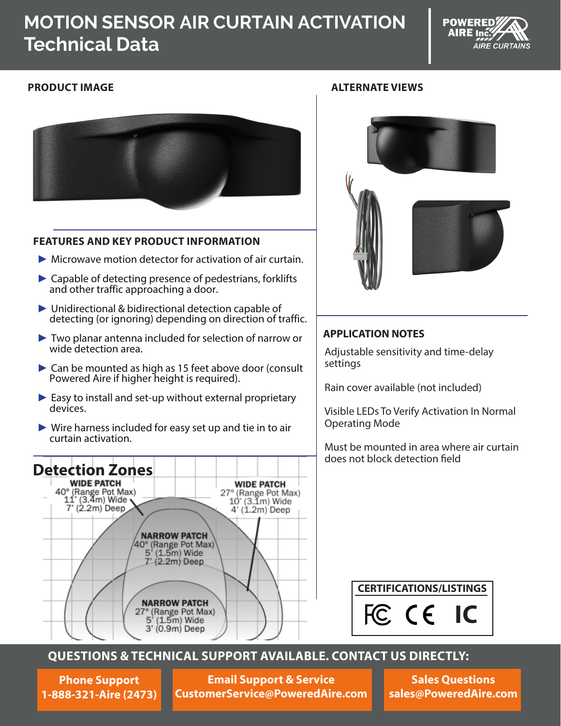# **MOTION SENSOR AIR CURTAIN ACTIVATION Technical Data**





### **FEATURES AND KEY PRODUCT INFORMATION**

- $\triangleright$  Microwave motion detector for activation of air curtain.
- ► Capable of detecting presence of pedestrians, forklifts and other traffic approaching a door.
- ► Unidirectional & bidirectional detection capable of detecting (or ignoring) depending on direction of traffic.
- ► Two planar antenna included for selection of narrow or wide detection area.
- ► Can be mounted as high as 15 feet above door (consult Powered Aire if higher height is required).
- ► Easy to install and set-up without external proprietary devices.
- ► Wire harness included for easy set up and tie in to air curtain activation.

# **Detection Zones**



#### **PRODUCT IMAGE ALTERNATE VIEWS**



#### **APPLICATION NOTES**

Adjustable sensitivity and time-delay settings

Rain cover available (not included)

Visible LEDs To Verify Activation In Normal Operating Mode

Must be mounted in area where air curtain does not block detection field

**CERTIFICATIONS/LISTINGS**



### **QUESTIONS & TECHNICAL SUPPORT AVAILABLE. CONTACT US DIRECTLY:**

**Phone Support 1-888-321-Aire (2473)**

**Email Support & Service CustomerService@PoweredAire.com**

**Sales Questions sales@PoweredAire.com**